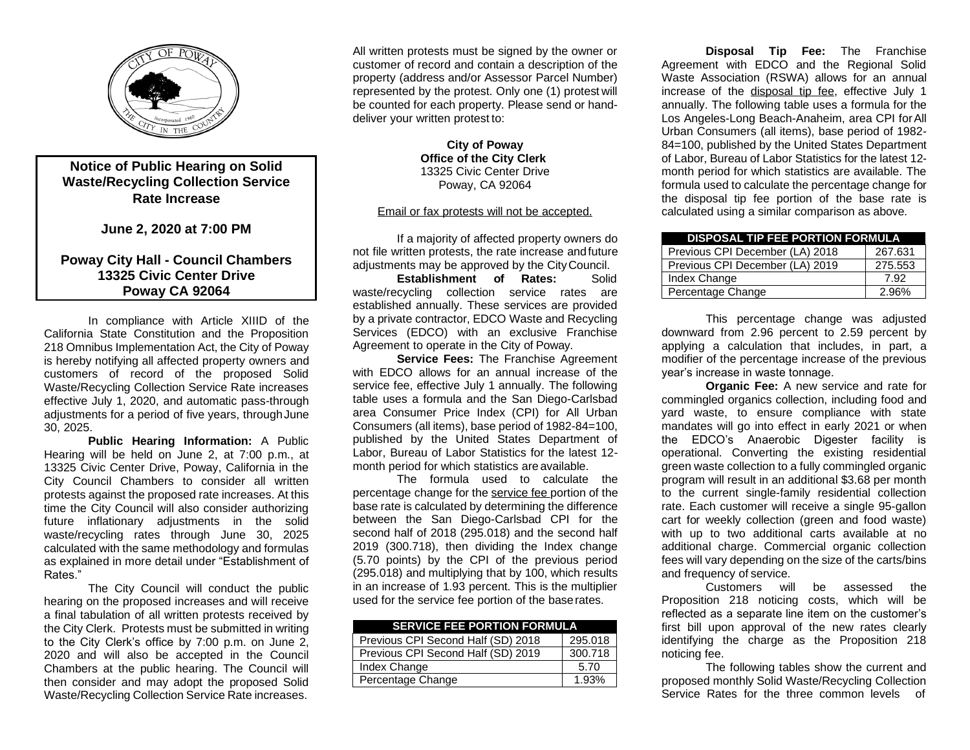

## **Notice of Public Hearing on Solid Waste/Recycling Collection Service Rate Increase**

**June 2, 2020 at 7:00 PM**

## **Poway City Hall - Council Chambers 13325 Civic Center Drive Poway CA 92064**

In compliance with Article XIIID of the California State Constitution and the Proposition 218 Omnibus Implementation Act, the City of Poway is hereby notifying all affected property owners and customers of record of the proposed Solid Waste/Recycling Collection Service Rate increases effective July 1, 2020, and automatic pass-through adjustments for a period of five years, throughJune 30, 2025.

**Public Hearing Information:** A Public Hearing will be held on June 2, at 7:00 p.m., at 13325 Civic Center Drive, Poway, California in the City Council Chambers to consider all written protests against the proposed rate increases. At this time the City Council will also consider authorizing future inflationary adjustments in the solid waste/recycling rates through June 30, 2025 calculated with the same methodology and formulas as explained in more detail under "Establishment of Rates."

The City Council will conduct the public hearing on the proposed increases and will receive a final tabulation of all written protests received by the City Clerk. Protests must be submitted in writing to the City Clerk's office by 7:00 p.m. on June 2, 2020 and will also be accepted in the Council Chambers at the public hearing. The Council will then consider and may adopt the proposed Solid Waste/Recycling Collection Service Rate increases.

All written protests must be signed by the owner or customer of record and contain a description of the property (address and/or Assessor Parcel Number) represented by the protest. Only one (1) protest will be counted for each property. Please send or handdeliver your written protest to:

> **City of Poway Office of the City Clerk**  13325 Civic Center Drive Poway, CA 92064

## Email or fax protests will not be accepted.

If a majority of affected property owners do not file written protests, the rate increase andfuture adjustments may be approved by the CityCouncil.

**Establishment of Rates:** Solid waste/recycling collection service rates are established annually. These services are provided by a private contractor, EDCO Waste and Recycling Services (EDCO) with an exclusive Franchise Agreement to operate in the City of Poway.

**Service Fees:** The Franchise Agreement with EDCO allows for an annual increase of the service fee, effective July 1 annually. The following table uses a formula and the San Diego-Carlsbad area Consumer Price Index (CPI) for All Urban Consumers (all items), base period of 1982-84=100, published by the United States Department of Labor, Bureau of Labor Statistics for the latest 12 month period for which statistics are available.

The formula used to calculate the percentage change for the service fee portion of the base rate is calculated by determining the difference between the San Diego-Carlsbad CPI for the second half of 2018 (295.018) and the second half 2019 (300.718), then dividing the Index change (5.70 points) by the CPI of the previous period (295.018) and multiplying that by 100, which results in an increase of 1.93 percent. This is the multiplier used for the service fee portion of the baserates.

| <b>SERVICE FEE PORTION FORMULA</b> |         |
|------------------------------------|---------|
| Previous CPI Second Half (SD) 2018 | 295.018 |
| Previous CPI Second Half (SD) 2019 | 300.718 |
| Index Change                       | 5.70    |
| Percentage Change                  | 1.93%   |

**Disposal Tip Fee:** The Franchise Agreement with EDCO and the Regional Solid Waste Association (RSWA) allows for an annual increase of the disposal tip fee, effective July 1 annually. The following table uses a formula for the Los Angeles-Long Beach-Anaheim, area CPI forAll Urban Consumers (all items), base period of 1982- 84=100, published by the United States Department of Labor, Bureau of Labor Statistics for the latest 12 month period for which statistics are available. The formula used to calculate the percentage change for the disposal tip fee portion of the base rate is calculated using a similar comparison as above.

| <b>DISPOSAL TIP FEE PORTION FORMULA</b> |         |  |  |
|-----------------------------------------|---------|--|--|
| Previous CPI December (LA) 2018         | 267.631 |  |  |
| Previous CPI December (LA) 2019         | 275.553 |  |  |
| Index Change                            | 7.92    |  |  |
| Percentage Change                       | 2.96%   |  |  |

This percentage change was adjusted downward from 2.96 percent to 2.59 percent by applying a calculation that includes, in part, a modifier of the percentage increase of the previous year's increase in waste tonnage.

**Organic Fee:** A new service and rate for commingled organics collection, including food and yard waste, to ensure compliance with state mandates will go into effect in early 2021 or when the EDCO's Anaerobic Digester facility is operational. Converting the existing residential green waste collection to a fully commingled organic program will result in an additional \$3.68 per month to the current single-family residential collection rate. Each customer will receive a single 95-gallon cart for weekly collection (green and food waste) with up to two additional carts available at no additional charge. Commercial organic collection fees will vary depending on the size of the carts/bins and frequency of service.

Customers will be assessed the Proposition 218 noticing costs, which will be reflected as a separate line item on the customer's first bill upon approval of the new rates clearly identifying the charge as the Proposition 218 noticing fee.

The following tables show the current and proposed monthly Solid Waste/Recycling Collection Service Rates for the three common levels of